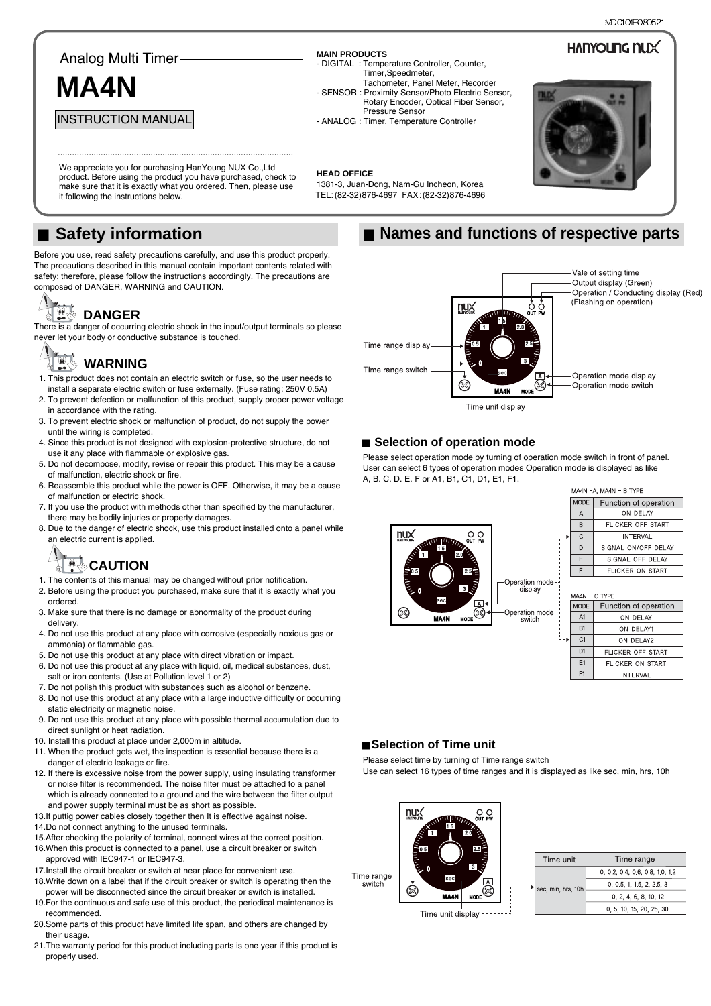**HANYOUNG NUX** 

#### Analog Multi Timer

## **MA4N**

INSTRUCTION MANUAL

**MAIN PRODUCTS**

**HEAD OFFICE** 

- DIGITAL : Temperature Controller, Counter, Timer,Speedmeter, Tachometer, Panel Meter, Recorder
- SENSOR : Proximity Sensor/Photo Electric Sensor, Rotary Encoder, Optical Fiber Sensor, Pressure Sensor
- ANALOG : Timer, Temperature Controller

1381-3, Juan-Dong, Nam-Gu Incheon, Korea TEL: (82-32)876-4697 FAX:(82-32)876-4696



We appreciate you for purchasing HanYoung NUX Co., Ltd. product. Before using the product you have purchased, check to make sure that it is exactly what you ordered. Then, please use it following the instructions below.

### ■ Safety information

Before you use, read safety precautions carefully, and use this product properly. The precautions described in this manual contain important contents related with safety; therefore, please follow the instructions accordingly. The precautions are composed of DANGER, WARNING and CAUTION.

### **DANGER**

There is a danger of occurring electric shock in the input/output terminals so please never let your body or conductive substance is touched.

#### $\triangle$ **WARNING**

- 1. This product does not contain an electric switch or fuse, so the user needs to install a separate electric switch or fuse externally. (Fuse rating: 250V 0.5A)
- 2. To prevent defection or malfunction of this product, supply proper power voltage in accordance with the rating.
- 3. To prevent electric shock or malfunction of product, do not supply the power until the wiring is completed.
- 4. Since this product is not designed with explosion-protective structure, do not use it any place with flammable or explosive gas.
- 5. Do not decompose, modify, revise or repair this product. This may be a cause of malfunction, electric shock or fire.
- 6. Reassemble this product while the power is OFF. Otherwise, it may be a cause of malfunction or electric shock.
- 7. If you use the product with methods other than specified by the manufacturer, there may be bodily injuries or property damages.
- 8. Due to the danger of electric shock, use this product installed onto a panel while an electric current is applied.

# **TWACAUTION**

- 1. The contents of this manual may be changed without prior notification.
- 2. Before using the product you purchased, make sure that it is exactly what you ordered.
- 3. Make sure that there is no damage or abnormality of the product during delivery.
- 4. Do not use this product at any place with corrosive (especially noxious gas or ammonia) or flammable gas.
- 5. Do not use this product at any place with direct vibration or impact.
- 6. Do not use this product at any place with liquid, oil, medical substances, dust, salt or iron contents. (Use at Pollution level 1 or 2)
- 7. Do not polish this product with substances such as alcohol or benzene.
- 8. Do not use this product at any place with a large inductive difficulty or occurring static electricity or magnetic noise.
- 9. Do not use this product at any place with possible thermal accumulation due to direct sunlight or heat radiation.
- 10. Install this product at place under 2,000m in altitude.
- 11. When the product gets wet, the inspection is essential because there is a danger of electric leakage or fire.
- 12. If there is excessive noise from the power supply, using insulating transformer or noise filter is recommended. The noise filter must be attached to a panel which is already connected to a ground and the wire between the filter output and power supply terminal must be as short as possible.
- 13.If puttig power cables closely together then It is effective against noise.
- 14.Do not connect anything to the unused terminals.
- 15.After checking the polarity of terminal, connect wires at the correct position. 16.When this product is connected to a panel, use a circuit breaker or switch
- approved with IEC947-1 or IEC947-3. 17.Install the circuit breaker or switch at near place for convenient use.
- 18.Write down on a label that if the circuit breaker or switch is operating then the power will be disconnected since the circuit breaker or switch is installed.
- 19.For the continuous and safe use of this product, the periodical maintenance is recommended.
- 20.Some parts of this product have limited life span, and others are changed by their usage.
- 21.The warranty period for this product including parts is one year if this product is properly used.

### ■ Names and functions of respective parts



#### ■ Selection of operation mode

Please select operation mode by turning of operation mode switch in front of panel. User can select 6 types of operation modes Operation mode is displayed as like A, B. C. D. E. F or A1, B1, C1, D1, E1, F1.



|  | MA4N -A, MA4N - B TYPE |                         |  |  |  |
|--|------------------------|-------------------------|--|--|--|
|  | <b>MODE</b>            | Function of operation   |  |  |  |
|  | A                      | ON DELAY                |  |  |  |
|  | B                      | FLICKER OFF START       |  |  |  |
|  | $\mathsf{C}$           | <b>INTERVAL</b>         |  |  |  |
|  | D                      | SIGNAL ON/OFF DELAY     |  |  |  |
|  | F                      | SIGNAL OFF DELAY        |  |  |  |
|  |                        | <b>FLICKER ON START</b> |  |  |  |
|  |                        |                         |  |  |  |

|  | MA4N - C TYPE  |                          |  |  |  |
|--|----------------|--------------------------|--|--|--|
|  | <b>MODE</b>    | Function of operation    |  |  |  |
|  | A1             | ON DELAY                 |  |  |  |
|  | B <sub>1</sub> | ON DELAY1                |  |  |  |
|  | C1             | ON DEI AY2               |  |  |  |
|  | D1             | <b>FLICKER OFF START</b> |  |  |  |
|  | E1             | <b>FLICKER ON START</b>  |  |  |  |
|  | F <sub>1</sub> | <b>INTERVAL</b>          |  |  |  |

#### ■ Selection of Time unit

Please select time by turning of Time range switch

Use can select 16 types of time ranges and it is displayed as like sec, min, hrs, 10h

|                      | nux<br><b>HATYOUNG</b><br><b>READERS</b><br>1.5 | О<br>OUT PW<br><b>JWW</b><br>RA<br>2.0<br>2.5<br>Ş<br>3 |  |
|----------------------|-------------------------------------------------|---------------------------------------------------------|--|
| Time range<br>switch | sec<br><b>MA4N</b>                              | <b>MODE</b>                                             |  |

|  | Time unit          | Time range                |  |
|--|--------------------|---------------------------|--|
|  | sec, min, hrs, 10h | 0, 02, 04, 06, 08, 10, 12 |  |
|  |                    | 0, 0.5, 1, 1.5, 2, 2.5, 3 |  |
|  |                    | 0, 2, 4, 6, 8, 10, 12     |  |
|  |                    | 0, 5, 10, 15, 20, 25, 30  |  |

Time unit display -------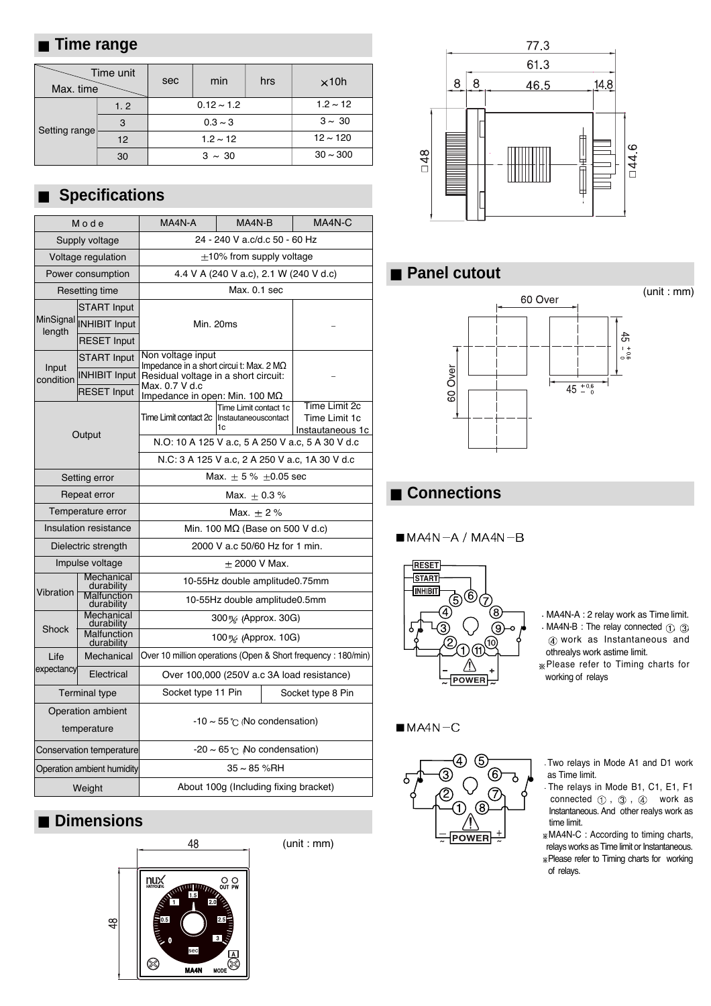#### **Time range**

| Max. time     | Time unit | sec             | min | hrs           | $\times$ 10h  |
|---------------|-----------|-----------------|-----|---------------|---------------|
|               | 1.2       | $0.12 \sim 1.2$ |     |               | $1.2 \sim 12$ |
|               | 3         | $0.3 \sim 3$    |     |               | $3 \sim 30$   |
| Setting range | 12        | $1.2 \sim 12$   |     | $12 \sim 120$ |               |
|               | 30        | $3 \sim 30$     |     | $30 \sim 300$ |               |

### **Specifications**

| Mode                             |                           | MA4N-A                                                        | MA4N-B                                     | MA4N-C                                             |  |
|----------------------------------|---------------------------|---------------------------------------------------------------|--------------------------------------------|----------------------------------------------------|--|
|                                  | Supply voltage            | 24 - 240 V a.c/d.c 50 - 60 Hz                                 |                                            |                                                    |  |
|                                  | Voltage regulation        | $\pm$ 10% from supply voltage                                 |                                            |                                                    |  |
|                                  | Power consumption         | 4.4 V A (240 V a.c), 2.1 W (240 V d.c)                        |                                            |                                                    |  |
|                                  | Resetting time            |                                                               | Max. 0.1 sec                               |                                                    |  |
|                                  | <b>START Input</b>        |                                                               |                                            |                                                    |  |
| MinSignal<br>length              | <b>INHIBIT Input</b>      | Min. 20ms                                                     |                                            |                                                    |  |
|                                  | <b>RESET Input</b>        |                                                               |                                            |                                                    |  |
|                                  | <b>START Input</b>        | Non voltage input<br>Impedance in a short circui t: Max. 2 MΩ |                                            |                                                    |  |
| Input<br>condition               | <b>INHIBIT Input</b>      | Residual voltage in a short circuit:                          |                                            |                                                    |  |
|                                  | <b>RESET Input</b>        | Max. 0.7 V d.c<br>Impedance in open: Min. 100 $M\Omega$       |                                            |                                                    |  |
|                                  |                           | Time Limit contact 2c   Instautaneouscontact                  | Time Limit contact 1c<br>1c                | Time Limit 2c<br>Time Limit 1c<br>Instautaneous 1c |  |
|                                  | Output                    | N.O: 10 A 125 V a.c, 5 A 250 V a.c, 5 A 30 V d.c              |                                            |                                                    |  |
|                                  |                           | N.C: 3 A 125 V a.c. 2 A 250 V a.c. 1A 30 V d.c                |                                            |                                                    |  |
|                                  | Setting error             | Max. $\pm$ 5 % $\pm$ 0.05 sec                                 |                                            |                                                    |  |
|                                  | Repeat error              | Max. $\pm$ 0.3 %                                              |                                            |                                                    |  |
|                                  | Temperature error         | Max. $\pm$ 2%                                                 |                                            |                                                    |  |
|                                  | Insulation resistance     | Min. 100 $M\Omega$ (Base on 500 V d.c)                        |                                            |                                                    |  |
|                                  | Dielectric strength       | 2000 V a.c 50/60 Hz for 1 min.                                |                                            |                                                    |  |
| Impulse voltage                  |                           | $\pm$ 2000 V Max.                                             |                                            |                                                    |  |
|                                  | Mechanical<br>durability  | 10-55Hz double amplitude0.75mm                                |                                            |                                                    |  |
| Vibration                        | Malfunction<br>durability | 10-55Hz double amplitude0.5mm                                 |                                            |                                                    |  |
|                                  | Mechanical<br>durability  | 300 % (Approx. 30G)                                           |                                            |                                                    |  |
| Shock                            | Malfunction<br>durability | 100 $\frac{m}{2}$ (Approx. 10G)                               |                                            |                                                    |  |
| Life                             | Mechanical                | Over 10 million operations (Open & Short frequency: 180/min)  |                                            |                                                    |  |
| expectancy                       | Electrical                |                                                               | Over 100,000 (250V a.c 3A load resistance) |                                                    |  |
| <b>Terminal type</b>             |                           | Socket type 11 Pin                                            |                                            | Socket type 8 Pin                                  |  |
| Operation ambient<br>temperature |                           | $-10 \sim 55$ °C (No condensation)                            |                                            |                                                    |  |
| Conservation temperature         |                           | $-20 \sim 65$ $\cap$ No condensation)                         |                                            |                                                    |  |
| Operation ambient humidity       |                           | 35 ~ 85 %RH                                                   |                                            |                                                    |  |
| Weight                           |                           | About 100g (Including fixing bracket)                         |                                            |                                                    |  |
|                                  |                           |                                                               |                                            |                                                    |  |

### **Dimensions**



(unit : mm)



### **Panel cutout**



### **Connections**

#### $MAAN - A / MA4N - B$



MA4N-A : 2 relay work as Time limit.

 $MA4N-B$  : The relay connected  $(1), (3)$ work as Instantaneous and othrealys work astime limit.

Please refer to Timing charts for working of relays

#### $MAAN-C$



- Two relays in Mode A1 and D1 work as Time limit.
- The relays in Mode B1, C1, E1, F1 connected  $\circled{1}$  ,  $\circled{3}$  ,  $\circled{4}$  work as Instantaneous. And other realys work as time limit.
- MA4N-C : According to timing charts, relays works as Time limit or Instantaneous. Please refer to Timing charts for working of relays.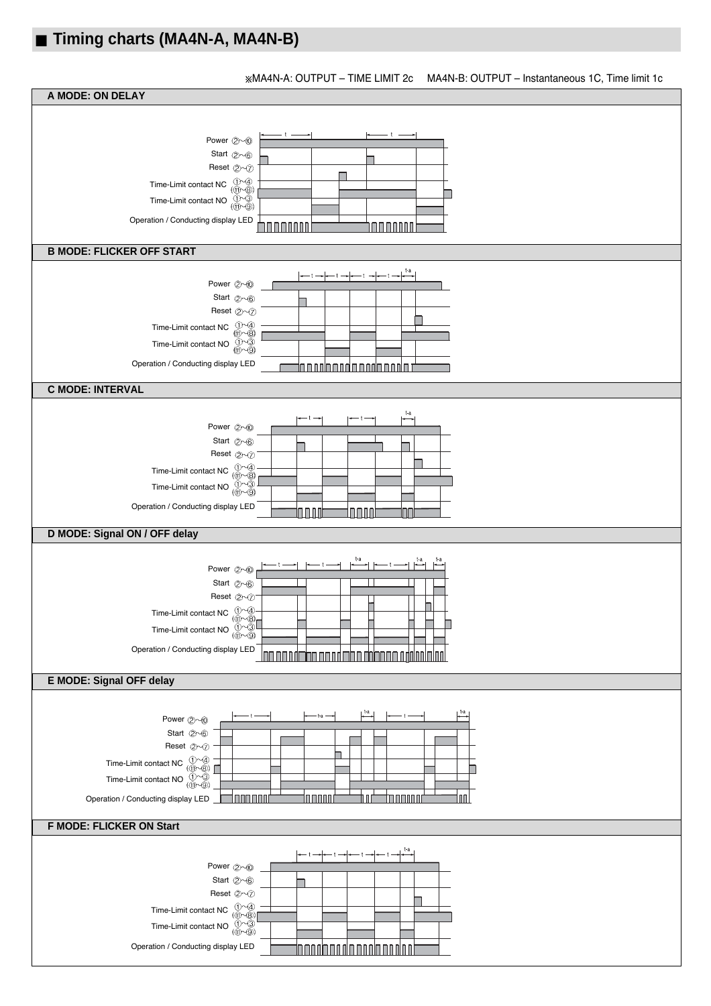### **Timing charts (MA4N-A, MA4N-B)**